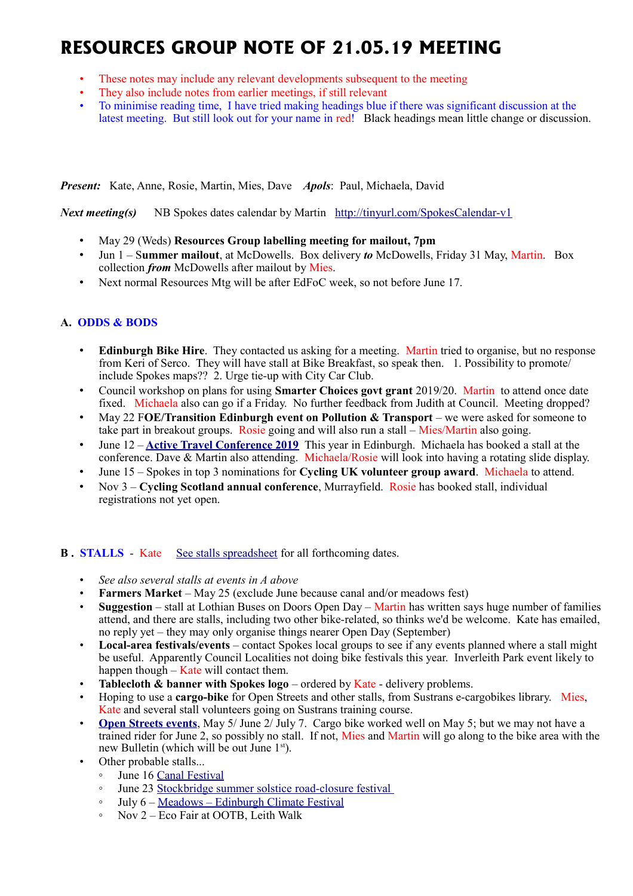# **RESOURCES GROUP NOTE OF 21.05.19 MEETING**

- These notes may include any relevant developments subsequent to the meeting
- They also include notes from earlier meetings, if still relevant
- To minimise reading time, I have tried making headings blue if there was significant discussion at the latest meeting. But still look out for your name in red! Black headings mean little change or discussion.

*Present:* Kate, Anne, Rosie, Martin, Mies, Dave *Apols*: Paul, Michaela, David

*Next meeting(s)*NB Spokes dates calendar by Martin <http://tinyurl.com/SpokesCalendar-v1>

- May 29 (Weds) **Resources Group labelling meeting for mailout, 7pm**
- Jun 1 S**ummer mailout**, at McDowells. Box delivery *to* McDowells, Friday 31 May, Martin. Box collection *from* McDowells after mailout by Mies.
- Next normal Resources Mtg will be after EdFoC week, so not before June 17.

# **A. ODDS & BODS**

- **Edinburgh Bike Hire**. They contacted us asking for a meeting. Martin tried to organise, but no response from Keri of Serco. They will have stall at Bike Breakfast, so speak then. 1. Possibility to promote include Spokes maps?? 2. Urge tie-up with City Car Club.
- Council workshop on plans for using **Smarter Choices govt grant** 2019/20. Martin to attend once date fixed. Michaela also can go if a Friday. No further feedback from Judith at Council. Meeting dropped?
- May 22 F**OE/Transition Edinburgh event on Pollution & Transport** we were asked for someone to take part in breakout groups. Rosie going and will also run a stall – Mies/Martin also going.
- June 12 **[Active Travel Conference 2019](https://mailchi.mp/1a0730790840/scotlands-active-travel-conference-2019-registration-now-open?e=78da4eaa82)** This year in Edinburgh. Michaela has booked a stall at the conference. Dave & Martin also attending. Michaela/Rosie will look into having a rotating slide display.
- June 15 Spokes in top 3 nominations for **Cycling UK volunteer group award**. Michaela to attend.
- Nov 3 **Cycling Scotland annual conference**, Murrayfield. Rosie has booked stall, individual registrations not yet open.

# **B.** STALLS - Kate [See stalls spreadsheet](https://docs.google.com/spreadsheets/d/1ixmHbC_ROc0P1GdGfFFx5hFzYwe4wZuTg5QcqDY7yWQ/edit?usp=drivesdk) for all forthcoming dates.

- *See also several stalls at events in A above*
- **Farmers Market** May 25 (exclude June because canal and/or meadows fest)
- **Suggestion** stall at Lothian Buses on Doors Open Day Martin has written says huge number of families attend, and there are stalls, including two other bike-related, so thinks we'd be welcome. Kate has emailed, no reply yet – they may only organise things nearer Open Day (September)
- **Local-area festivals/events** contact Spokes local groups to see if any events planned where a stall might be useful. Apparently Council Localities not doing bike festivals this year. Inverleith Park event likely to happen though – Kate will contact them.
- **Tablecloth & banner with Spokes logo** ordered by Kate delivery problems.
- Hoping to use a **cargo-bike** for Open Streets and other stalls, from Sustrans e-cargobikes library. Mies, Kate and several stall volunteers going on Sustrans training course.
- **[Open Streets events](http://www.edinburgh.gov.uk/connectingplaces/info/9/consultation/20/open_streets_consultation)**, May 5/ June 2/ July 7. Cargo bike worked well on May 5; but we may not have a trained rider for June 2, so possibly no stall. If not, Mies and Martin will go along to the bike area with the new Bulletin (which will be out June  $1<sup>st</sup>$ ).
- Other probable stalls...
	- June 16 [Canal Festival](https://www.scottishcanals.co.uk/events/edinburgh-canal-festival/)
	- June 23 [Stockbridge summer solstice road-closure festival](https://www.stockbridgesummersolstice.org.uk/)
	- July 6 – [Meadows Edinburgh Climate Festival](https://www.eventbrite.co.uk/e/edinburgh-climate-festival-2019-tickets-61568115892)
	- Nov 2 Eco Fair at OOTB, Leith Walk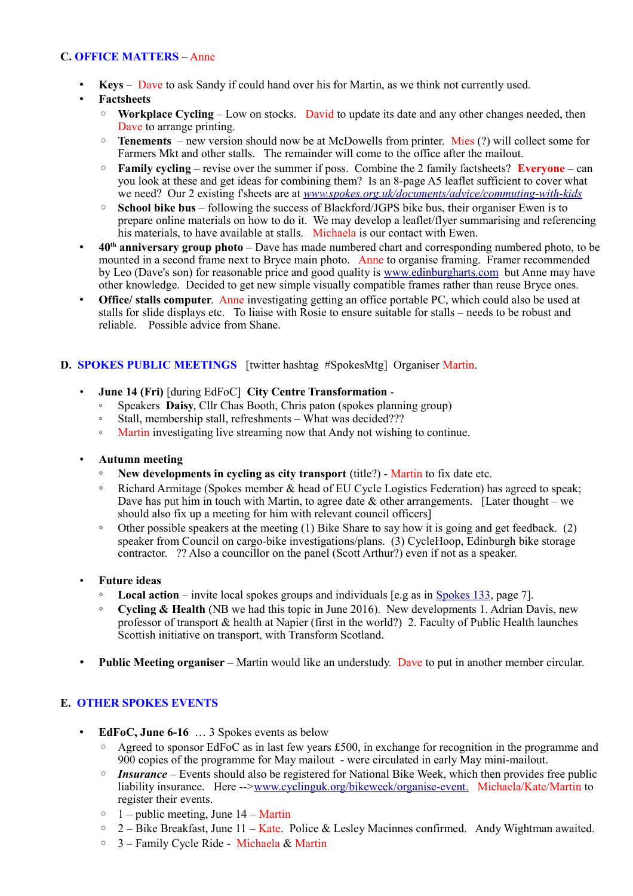# **C. OFFICE MATTERS** – Anne

- **Keys** Dave to ask Sandy if could hand over his for Martin, as we think not currently used.
- **Factsheets**
	- **Workplace Cycling** Low on stocks. David to update its date and any other changes needed, then Dave to arrange printing.
	- **Tenements** new version should now be at McDowells from printer. Mies (?) will collect some for Farmers Mkt and other stalls. The remainder will come to the office after the mailout.
	- **Family cycling** revise over the summer if poss. Combine the 2 family factsheets? **Everyone** can you look at these and get ideas for combining them? Is an 8-page A5 leaflet sufficient to cover what we need? Our 2 existing f'sheets are at *[www.spokes.org.uk/documents/advice/commuting-with-kids](http://www.spokes.org.uk/documents/advice/commuting-with-kids/)*
	- **School bike bus** following the success of Blackford/JGPS bike bus, their organiser Ewen is to prepare online materials on how to do it. We may develop a leaflet/flyer summarising and referencing his materials, to have available at stalls. Michaela is our contact with Ewen.
- **40th anniversary group photo** Dave has made numbered chart and corresponding numbered photo, to be mounted in a second frame next to Bryce main photo. Anne to organise framing. Framer recommended by Leo (Dave's son) for reasonable price and good quality is [www.edinburgharts.com](http://www.edinburgharts.com/) but Anne may have other knowledge. Decided to get new simple visually compatible frames rather than reuse Bryce ones.
- **Office/ stalls computer.** Anne investigating getting an office portable PC, which could also be used at stalls for slide displays etc. To liaise with Rosie to ensure suitable for stalls – needs to be robust and reliable. Possible advice from Shane.

# **D. SPOKES PUBLIC MEETINGS** [twitter hashtag #SpokesMtg] Organiser Martin.

- **June 14 (Fri)** [during EdFoC] **City Centre Transformation**
	- Speakers **Daisy**, Cllr Chas Booth, Chris paton (spokes planning group)
	- Stall, membership stall, refreshments What was decided???
	- Martin investigating live streaming now that Andy not wishing to continue.

#### • **Autumn meeting**

- **New developments in cycling as city transport** (title?) Martin to fix date etc.
- Richard Armitage (Spokes member & head of EU Cycle Logistics Federation) has agreed to speak; Dave has put him in touch with Martin, to agree date  $\&$  other arrangements. [Later thought – we should also fix up a meeting for him with relevant council officers]
- $\circ$  Other possible speakers at the meeting (1) Bike Share to say how it is going and get feedback. (2) speaker from Council on cargo-bike investigations/plans. (3) CycleHoop, Edinburgh bike storage contractor. ?? Also a councillor on the panel (Scott Arthur?) even if not as a speaker.
- **Future ideas**
	- **Local action** invite local spokes groups and individuals [e.g as in [Spokes 133,](http://www.spokes.org.uk/wp-content/uploads/2019/02/pall-at-95.pdf) page 7].
	- **Cycling & Health** (NB we had this topic in June 2016). New developments 1. Adrian Davis, new professor of transport & health at Napier (first in the world?) 2. Faculty of Public Health launches Scottish initiative on transport, with Transform Scotland.
- **Public Meeting organiser** Martin would like an understudy. Dave to put in another member circular.

# **E. OTHER SPOKES EVENTS**

- **EdFoC, June 6-16** … 3 Spokes events as below
	- $\degree$  Agreed to sponsor EdFoC as in last few years £500, in exchange for recognition in the programme and 900 copies of the programme for May mailout - were circulated in early May mini-mailout.
	- **Insurance** Events should also be registered for National Bike Week, which then provides free public liability insurance. Here -->www.cyclinguk.org/bikeweek/organise-event. Michaela/Kate/Martin to register their events.
	- $\circ$  1 public meeting, June 14 Martin
	- $\degree$  2 Bike Breakfast, June 11 Kate. Police & Lesley Macinnes confirmed. Andy Wightman awaited.
	- 3 Family Cycle Ride Michaela & Martin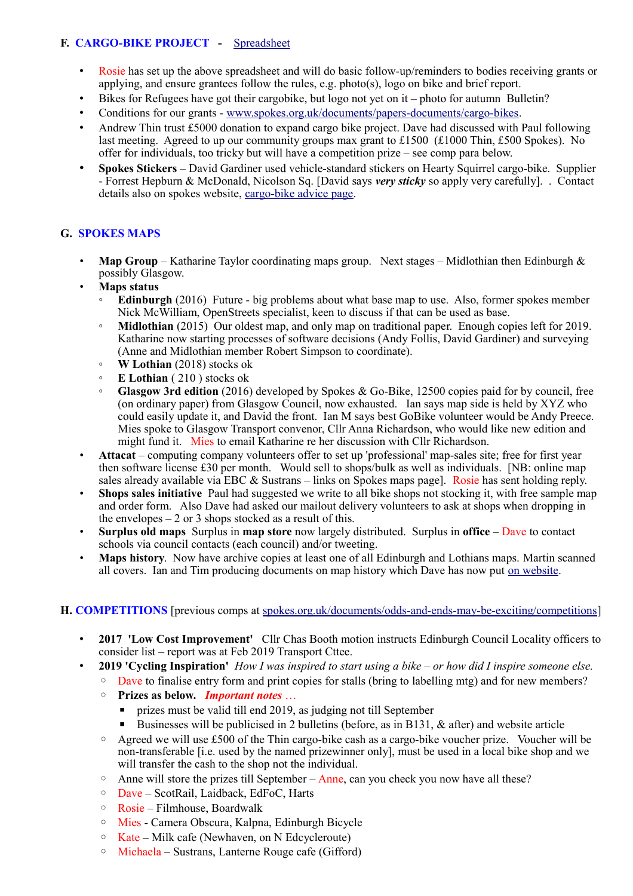# **F. CARGO-BIKE PROJECT -** [Spreadsheet](https://drive.google.com/drive/folders/1BuWIrWRXwrDyFuw-nDA8n9ms37oAeKwH)

- Rosie has set up the above spreadsheet and will do basic follow-up/reminders to bodies receiving grants or applying, and ensure grantees follow the rules, e.g. photo(s), logo on bike and brief report.
- Bikes for Refugees have got their cargobike, but logo not yet on it photo for autumn Bulletin?
- Conditions for our grants - [www.spokes.org.uk/documents/papers-documents/cargo-bikes.](http://www.spokes.org.uk/documents/papers-documents/cargo-bikes)
- Andrew Thin trust £5000 donation to expand cargo bike project. Dave had discussed with Paul following last meeting. Agreed to up our community groups max grant to £1500 (£1000 Thin, £500 Spokes). No offer for individuals, too tricky but will have a competition prize – see comp para below.
- **Spokes Stickers** David Gardiner used vehicle-standard stickers on Hearty Squirrel cargo-bike. Supplier - Forrest Hepburn & McDonald, Nicolson Sq. [David says *very sticky* so apply very carefully]. . Contact details also on spokes website, [cargo-bike advice page.](http://www.spokes.org.uk/documents/advice/cargo-bikes/)

# **G. SPOKES MAPS**

- **Map Group** Katharine Taylor coordinating maps group. Next stages Midlothian then Edinburgh & possibly Glasgow.
- **Maps status**
	- **Edinburgh** (2016) Future big problems about what base map to use. Also, former spokes member Nick McWilliam, OpenStreets specialist, keen to discuss if that can be used as base.
	- **Midlothian** (2015) Our oldest map, and only map on traditional paper. Enough copies left for 2019. Katharine now starting processes of software decisions (Andy Follis, David Gardiner) and surveying (Anne and Midlothian member Robert Simpson to coordinate).
	- **W Lothian** (2018) stocks ok
	- **E Lothian** ( 210 ) stocks ok
	- **Glasgow 3rd edition** (2016) developed by Spokes & Go-Bike, 12500 copies paid for by council, free (on ordinary paper) from Glasgow Council, now exhausted. Ian says map side is held by XYZ who could easily update it, and David the front. Ian M says best GoBike volunteer would be Andy Preece. Mies spoke to Glasgow Transport convenor, Cllr Anna Richardson, who would like new edition and might fund it. Mies to email Katharine re her discussion with Cllr Richardson.
- **Attacat** computing company volunteers offer to set up 'professional' map-sales site; free for first year then software license £30 per month. Would sell to shops/bulk as well as individuals. [NB: online map sales already available via EBC & Sustrans – links on Spokes maps page]. Rosie has sent holding reply.
- **Shops sales initiative** Paul had suggested we write to all bike shops not stocking it, with free sample map and order form. Also Dave had asked our mailout delivery volunteers to ask at shops when dropping in the envelopes  $-2$  or 3 shops stocked as a result of this.
- **Surplus old maps** Surplus in **map store** now largely distributed. Surplus in **office** Dave to contact schools via council contacts (each council) and/or tweeting.
- **Maps history**. Now have archive copies at least one of all Edinburgh and Lothians maps. Martin scanned all covers. Ian and Tim producing documents on map history which Dave has now put [on website.](http://www.spokes.org.uk/spokes-maps/#Old)

#### **H. COMPETITIONS** [previous comps at [spokes.org.uk/documents/odds-and-ends-may-be-exciting/competitions\]](http://www.spokes.org.uk/documents/odds-and-ends-may-be-exciting/competitions/)

- **2017 'Low Cost Improvement'** Cllr Chas Booth motion instructs Edinburgh Council Locality officers to consider list – report was at Feb 2019 Transport Cttee.
	- **2019 'Cycling Inspiration'** *How I was inspired to start using a bike or how did I inspire someone else.* 
		- Dave to finalise entry form and print copies for stalls (bring to labelling mtg) and for new members?
		- **Prizes as below.** *Important notes* …
			- prizes must be valid till end 2019, as judging not till September
			- **E** Businesses will be publicised in 2 bulletins (before, as in B131,  $\&$  after) and website article
		- Agreed we will use £500 of the Thin cargo-bike cash as a cargo-bike voucher prize. Voucher will be non-transferable [i.e. used by the named prizewinner only], must be used in a local bike shop and we will transfer the cash to the shop not the individual.
		- $\degree$  Anne will store the prizes till September Anne, can you check you now have all these?
		- Dave ScotRail, Laidback, EdFoC, Harts
		- Rosie Filmhouse, Boardwalk
		- Mies Camera Obscura, Kalpna, Edinburgh Bicycle
		- Kate Milk cafe (Newhaven, on N Edcycleroute)
		- Michaela Sustrans, Lanterne Rouge cafe (Gifford)